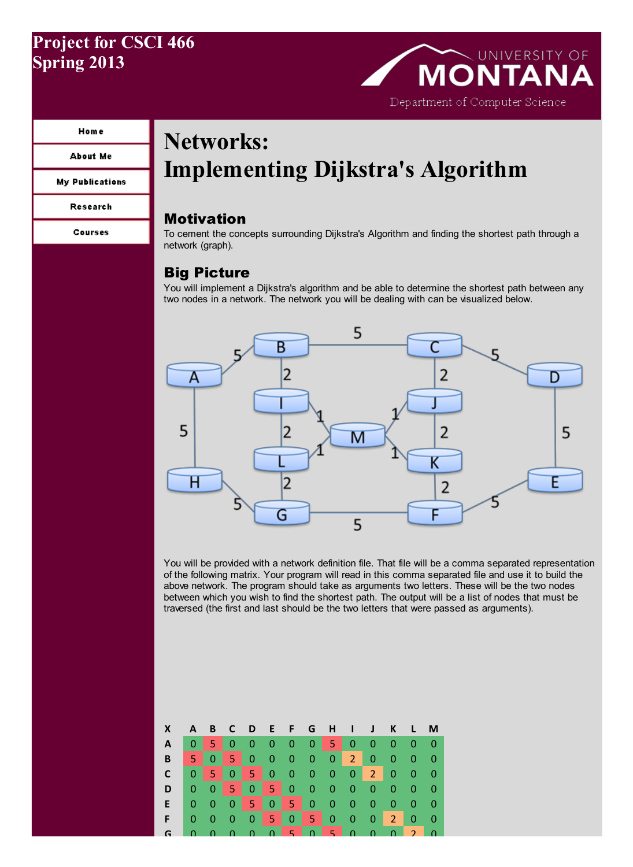## Project for CSCI 466 Spring 2013

## UNIVERSITY OF **MONTAN** Department of Computer Science

#### **Home**

#### **About Me**

**My Publications** 

Research

```
Courses
```
# Networks: Implementing Dijkstra's Algorithm

## Motivation

To cement the concepts surrounding Dijkstra's Algorithm and finding the shortest path through a network (graph).

## Big Picture

You will implement a Dijkstra's algorithm and be able to determine the shortest path between any two nodes in a network. The network you will be dealing with can be visualized below.



You will be provided with a network definition file. That file will be a comma separated representation of the following matrix. Your program will read in this comma separated file and use it to build the above network. The program should take as arguments two letters. These will be the two nodes between which you wish to find the shortest path. The output will be a list of nodes that must be traversed (the first and last should be the two letters that were passed as arguments).

| <b>X</b>                |  |  |  | A B C D E F G H I J K L M            |  |                            |                            |
|-------------------------|--|--|--|--------------------------------------|--|----------------------------|----------------------------|
| A                       |  |  |  | 0 5 0 0 0 0 0 5 0 0 0                |  | $\overline{0}$             | $\blacksquare$             |
| B                       |  |  |  | 50500000200                          |  | $\overline{\phantom{0}}$ 0 | - 0                        |
| $\mathbf{C}$            |  |  |  | 0 5 0 5 0 0 0 0 0 2 0                |  | $\overline{\phantom{0}}$ 0 | $\overline{\phantom{0}}$ 0 |
| D                       |  |  |  | 0 0 5 0 5 0 0 0 0 0 0                |  | $\overline{\phantom{0}}$   | — O'                       |
| E 0 0 0 5 0 5 0 0 0 0 0 |  |  |  |                                      |  | $\overline{0}$             | - 0                        |
| F I                     |  |  |  | 0 0 0 0 <mark>5 0 5</mark> 0 0 0 2 0 |  |                            | - 0                        |
| G                       |  |  |  |                                      |  |                            |                            |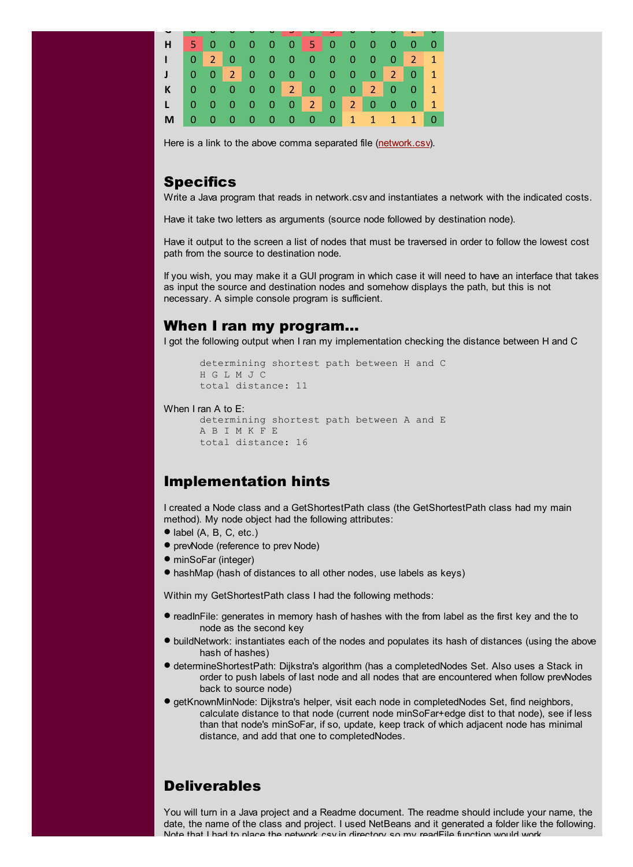| H.                          |     |  |  |  |  | 500000 <mark>5</mark> 000000 |  |  |
|-----------------------------|-----|--|--|--|--|------------------------------|--|--|
| 4                           |     |  |  |  |  | 0 2 0 0 0 0 0 0 0 0 0 2 1    |  |  |
| $\mathbf{J}$                |     |  |  |  |  | 0 0 2 0 0 0 0 0 0 0 2 0 1    |  |  |
| K 0 0 0 0 0 2 0 0 0 2 0 0 1 |     |  |  |  |  |                              |  |  |
| L 0 0 0 0 0 0 2 0 2 0 0 0 1 |     |  |  |  |  |                              |  |  |
| <b>M</b>                    | - 0 |  |  |  |  | 0 0 0 0 0 0 0 1 1 1 1 0      |  |  |

Here is a link to the above comma separated file [\(network.csv](http://www.cs.umt.edu/~dougr/networkingFiles/Dijkstras/network.csv)).

### **Specifics**

Write a Java program that reads in network.csv and instantiates a network with the indicated costs.

Have it take two letters as arguments (source node followed by destination node).

Have it output to the screen a list of nodes that must be traversed in order to follow the lowest cost path from the source to destination node.

If you wish, you may make it a GUI program in which case it will need to have an interface that takes as input the source and destination nodes and somehow displays the path, but this is not necessary. A simple console program is sufficient.

### When I ran my program…

I got the following output when I ran my implementation checking the distance between H and C

```
determining shortest path between H and C
H G L M J C
total distance: 11
```
#### When I ran A to E:

```
determining shortest path between A and E
A B I M K F E
total distance: 16
```
## Implementation hints

I created a Node class and a GetShortestPath class (the GetShortestPath class had my main method). My node object had the following attributes:

- $\bullet$  label (A, B, C, etc.)
- prevNode (reference to prev Node)
- minSoFar (integer)
- · hashMap (hash of distances to all other nodes, use labels as keys)

Within my GetShortestPath class I had the following methods:

- · readInFile: generates in memory hash of hashes with the from label as the first key and the to node as the second key
- · buildNetwork: instantiates each of the nodes and populates its hash of distances (using the above hash of hashes)
- · determineShortestPath: Dijkstra's algorithm (has <sup>a</sup> completedNodes Set. Also uses <sup>a</sup> Stack in order to push labels of last node and all nodes that are encountered when follow prevNodes back to source node)
- · getKnownMinNode: Dijkstra's helper, visit each node in completedNodes Set, find neighbors, calculate distance to that node (current node minSoFar+edge dist to that node), see if less than that node's minSoFar, if so, update, keep track of which adjacent node has minimal distance, and add that one to completedNodes.

## **Deliverables**

You will turn in a Java project and a Readme document. The readme should include your name, the date, the name of the class and project. I used NetBeans and it generated a folder like the following. Note that I had to place the network.csv in directory so my readFile function would work.